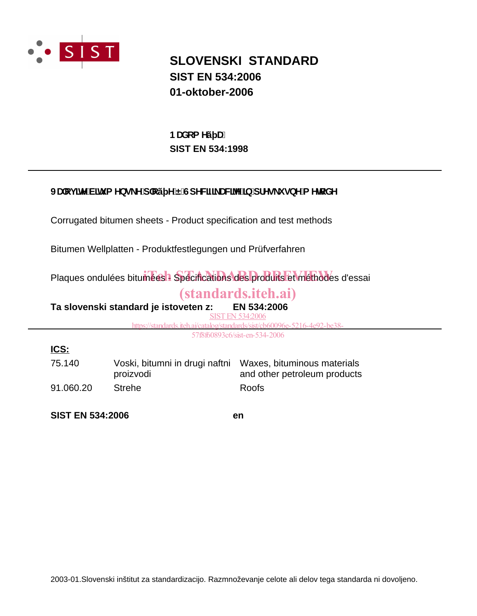

## **SLOVENSKI STANDARD SIST EN 534:2006 01-oktober-2006**

**SIST EN 534:1998 BUXca Yý U.** 

## JUcj]hYV]hi a Ybg\_Y'd`cý Y'Ë'GdYWZ\_UWYY']b'dfYg\_i gbY'a YhcXY

Corrugated bitumen sheets - Product specification and test methods

Bitumen Wellplatten - Produktfestlegungen und Prüfverfahren

Plaques ondulées bitumées : Spécifications des produits et méthodes d'essai

## (standards.iteh.ai)

**Ta slovenski standard je istoveten z: EN 534:2006**

SIST EN 534:2006

https://standards.iteh.ai/catalog/standards/sist/cb60096e-5216-4e92-be38-

57f8f60893c6/sist-en-534-2006

## **ICS:**

| 75.140    | Voski, bitumni in drugi naftni Waxes, bituminous materials |                              |  |  |
|-----------|------------------------------------------------------------|------------------------------|--|--|
|           | proizvodi                                                  | and other petroleum products |  |  |
| 91.060.20 | Strehe                                                     | Roofs                        |  |  |

**SIST EN 534:2006 en**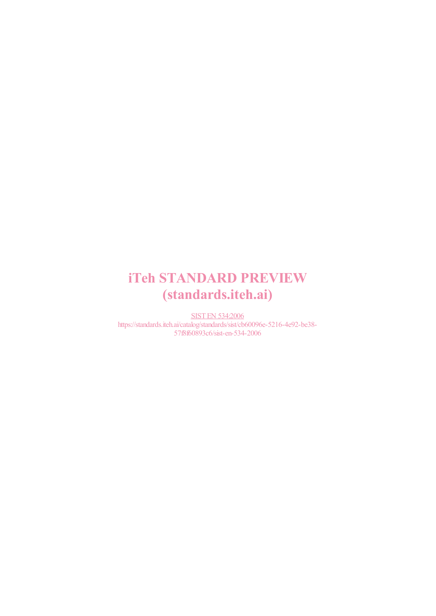# iTeh STANDARD PREVIEW (standards.iteh.ai)

SIST EN 534:2006 https://standards.iteh.ai/catalog/standards/sist/cb60096e-5216-4e92-be38- 57f8f60893c6/sist-en-534-2006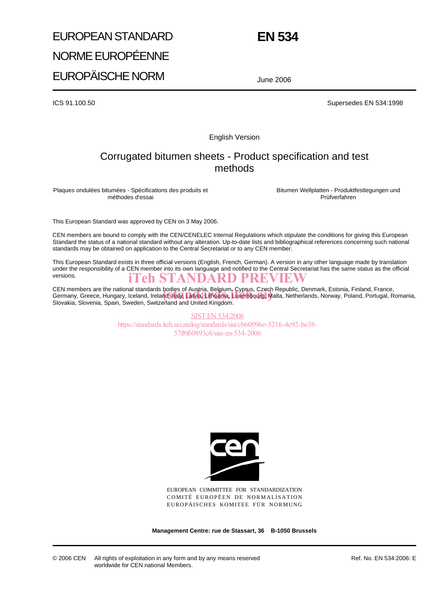# EUROPEAN STANDARD NORME EUROPÉENNE EUROPÄISCHE NORM

**EN 534**

June 2006

ICS 91.100.50 Supersedes EN 534:1998

English Version

## Corrugated bitumen sheets - Product specification and test methods

Plaques ondulées bitumées - Spécifications des produits et méthodes d'essai

Bitumen Wellplatten - Produktfestlegungen und Prüfverfahren

This European Standard was approved by CEN on 3 May 2006.

CEN members are bound to comply with the CEN/CENELEC Internal Regulations which stipulate the conditions for giving this European Standard the status of a national standard without any alteration. Up-to-date lists and bibliographical references concerning such national standards may be obtained on application to the Central Secretariat or to any CEN member.

This European Standard exists in three official versions (English, French, German). A version in any other language made by translation under the responsibility of a CEN member into its own language and notified to the Central Secretariat has the same status as the official versions. iTeh STANDARD PREVIEW

CEN members are the national standards bodies of Austria, Belgium, Cyprus, Czech Republic, Denmark, Estonia, Finland, France, CEN members are the national standards bodies of Austria, Belgium, Cyprus, Czech Republic, Denmark, Estonia, Finland, France,<br>Germany, Greece, Hungary, Iceland, Ireland, Italy, Latvia Lithuania, Luxembourg, Malta, Netherla Slovakia, Slovenia, Spain, Sweden, Switzerland and United Kingdom.

> SIST EN 534:2006 https://standards.iteh.ai/catalog/standards/sist/cb60096e-5216-4e92-be38- 57f8f60893c6/sist-en-534-2006



EUROPEAN COMMITTEE FOR STANDARDIZATION COMITÉ EUROPÉEN DE NORMALISATION EUROPÄISCHES KOMITEE FÜR NORMUNG

**Management Centre: rue de Stassart, 36 B-1050 Brussels**

© 2006 CEN All rights of exploitation in any form and by any means reserved worldwide for CEN national Members.

Ref. No. EN 534:2006: E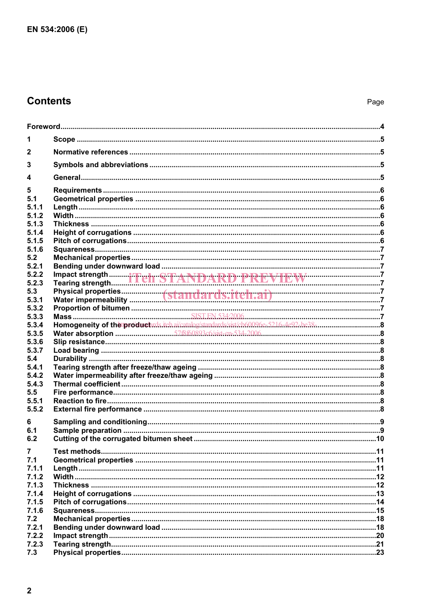## **Contents**

| 1              |                                        |  |
|----------------|----------------------------------------|--|
| $\mathbf{2}$   |                                        |  |
| 3              |                                        |  |
| 4              |                                        |  |
| 5              |                                        |  |
| 5.1            |                                        |  |
| 5.1.1          |                                        |  |
| 5.1.2          |                                        |  |
| 5.1.3          |                                        |  |
| 5.1.4          |                                        |  |
| 5.1.5          |                                        |  |
| 5.1.6          |                                        |  |
| 5.2            |                                        |  |
| 5.2.1          |                                        |  |
| 5.2.2          | Impact strength iTeIr STANDARD PREVIEW |  |
| 5.2.3          |                                        |  |
| 5.3            |                                        |  |
| 5.3.1          |                                        |  |
| 5.3.2          |                                        |  |
| 5.3.3          |                                        |  |
| 5.3.4          |                                        |  |
| 5.3.5          |                                        |  |
| 5.3.6          |                                        |  |
| 5.3.7          |                                        |  |
| 5.4            |                                        |  |
| 5.4.1<br>5.4.2 |                                        |  |
| 5.4.3          |                                        |  |
| 5.5            |                                        |  |
| 5.5.1          |                                        |  |
| 5.5.2          |                                        |  |
|                |                                        |  |
| 6              |                                        |  |
| 6.1            |                                        |  |
| 6.2            |                                        |  |
| $\overline{7}$ |                                        |  |
| 7.1            |                                        |  |
| 7.1.1          |                                        |  |
| 7.1.2          |                                        |  |
| 7.1.3          |                                        |  |
| 7.1.4          |                                        |  |
| 7.1.5          |                                        |  |
| 7.1.6          |                                        |  |
| 7.2            |                                        |  |
| 7.2.1          |                                        |  |
| 7.2.2          |                                        |  |
| 7.2.3          |                                        |  |
| 7.3            |                                        |  |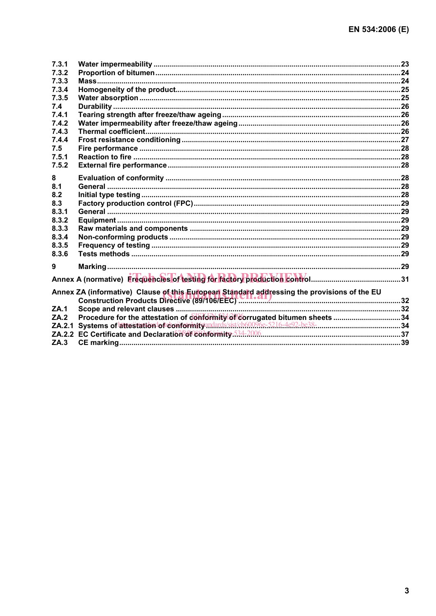| 7.3.1  |                                                                             |  |
|--------|-----------------------------------------------------------------------------|--|
| 7.3.2  |                                                                             |  |
| 7.3.3  |                                                                             |  |
| 7.3.4  |                                                                             |  |
| 7.3.5  |                                                                             |  |
| 7.4    |                                                                             |  |
| 7.4.1  |                                                                             |  |
| 7.4.2  |                                                                             |  |
| 7.4.3  |                                                                             |  |
| 7.4.4  |                                                                             |  |
| 7.5    |                                                                             |  |
| 7.5.1  |                                                                             |  |
| 7.5.2  |                                                                             |  |
| 8      |                                                                             |  |
| 8.1    |                                                                             |  |
| 8.2    |                                                                             |  |
| 8.3    |                                                                             |  |
| 8.3.1  |                                                                             |  |
| 8.3.2  |                                                                             |  |
| 8.3.3  |                                                                             |  |
| 8.3.4  |                                                                             |  |
| 8.3.5  |                                                                             |  |
| 8.3.6  |                                                                             |  |
|        |                                                                             |  |
| 9      |                                                                             |  |
|        |                                                                             |  |
|        |                                                                             |  |
|        |                                                                             |  |
| ZA.1   |                                                                             |  |
| ZA.2   | Procedure for the attestation of conformity of corrugated bitumen sheets 34 |  |
| ZA.2.1 |                                                                             |  |
|        |                                                                             |  |
| ZA.3   |                                                                             |  |
|        |                                                                             |  |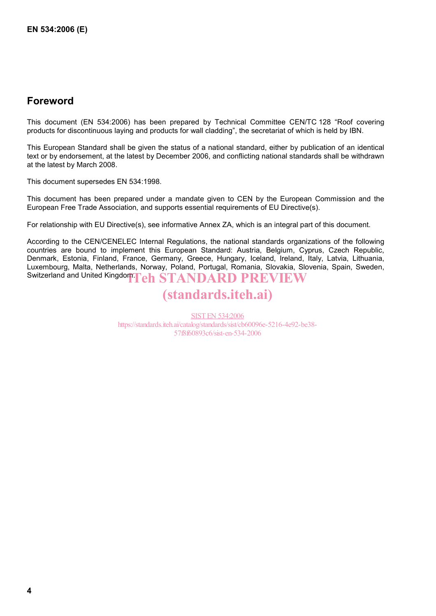## **Foreword**

This document (EN 534:2006) has been prepared by Technical Committee CEN/TC 128 "Roof covering products for discontinuous laying and products for wall cladding", the secretariat of which is held by IBN.

This European Standard shall be given the status of a national standard, either by publication of an identical text or by endorsement, at the latest by December 2006, and conflicting national standards shall be withdrawn at the latest by March 2008.

This document supersedes EN 534:1998.

This document has been prepared under a mandate given to CEN by the European Commission and the European Free Trade Association, and supports essential requirements of EU Directive(s).

For relationship with EU Directive(s), see informative Annex ZA, which is an integral part of this document.

According to the CEN/CENELEC Internal Regulations, the national standards organizations of the following countries are bound to implement this European Standard: Austria, Belgium, Cyprus, Czech Republic, Denmark, Estonia, Finland, France, Germany, Greece, Hungary, Iceland, Ireland, Italy, Latvia, Lithuania, Luxembourg, Malta, Netherlands, Norway, Poland, Portugal, Romania, Slovakia, Slovenia, Spain, Sweden, Switzerland and United Kingdom ${\bf Teh\ STANDARD\ PREVIEW}$ 

## (standards.iteh.ai)

SIST EN 534:2006 https://standards.iteh.ai/catalog/standards/sist/cb60096e-5216-4e92-be38- 57f8f60893c6/sist-en-534-2006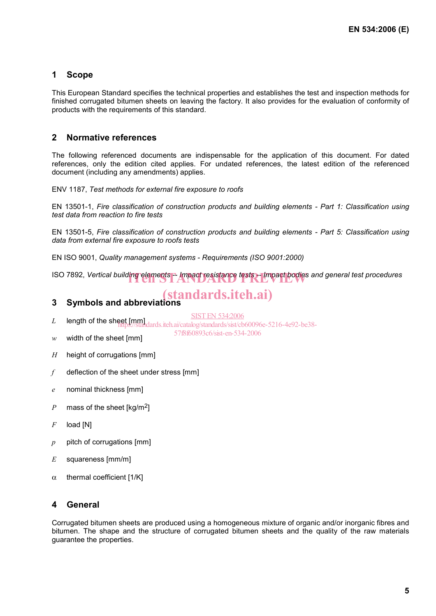### **1 Scope**

This European Standard specifies the technical properties and establishes the test and inspection methods for finished corrugated bitumen sheets on leaving the factory. It also provides for the evaluation of conformity of products with the requirements of this standard.

### **2 Normative references**

The following referenced documents are indispensable for the application of this document. For dated references, only the edition cited applies. For undated references, the latest edition of the referenced document (including any amendments) applies.

ENV 1187, *Test methods for external fire exposure to roofs* 

EN 13501-1, *Fire classification of construction products and building elements - Part 1: Classification using test data from reaction to fire tests*

EN 13501-5, *Fire classification of construction products and building elements - Part 5: Classification using data from external fire exposure to roofs tests*

EN ISO 9001, *Quality management systems - Requirements (ISO 9001:2000)*

ISO 7892, *Vertical building elements* -- *Impact resistance tests -- Impact bodies and general test procedures* 

## (standards.iteh.ai)

### **3 Symbols and abbreviations**

SIST EN 534:2006

57f8f60893c6/sist-en-534-2006

- L length of the sheet [mm]<br>https://standards.iteh.ai/catalog/standards/sist/cb60096e-5216-4e92-be38-
- *w* width of the sheet [mm]
- *H* height of corrugations [mm]
- *f* deflection of the sheet under stress [mm]
- *e* nominal thickness [mm]
- *P* mass of the sheet [kg/m<sup>2</sup>]
- *F* load [N]
- *p* pitch of corrugations [mm]
- *E* squareness [mm/m]
- $\alpha$  thermal coefficient [1/K]

### **4 General**

Corrugated bitumen sheets are produced using a homogeneous mixture of organic and/or inorganic fibres and bitumen. The shape and the structure of corrugated bitumen sheets and the quality of the raw materials guarantee the properties.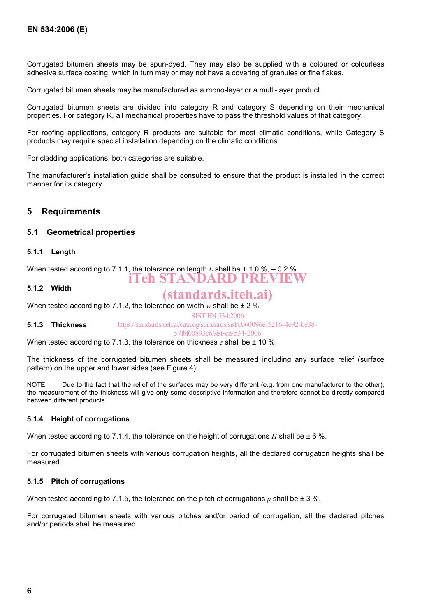Corrugated bitumen sheets may be spun-dyed. They may also be supplied with a coloured or colourless adhesive surface coating, which in turn may or may not have a covering of granules or fine flakes.

Corrugated bitumen sheets may be manufactured as a mono-layer or a multi-layer product.

Corrugated bitumen sheets are divided into category R and category S depending on their mechanical properties. For category R, all mechanical properties have to pass the threshold values of that category.

For roofing applications, category R products are suitable for most climatic conditions, while Category S products may require special installation depending on the climatic conditions.

For cladding applications, both categories are suitable.

The manufacturer's installation guide shall be consulted to ensure that the product is installed in the correct manner for its category.

#### **5 Requirements**

#### **5.1 Geometrical properties**

#### **5.1.1 Length**

When tested according to 7.1.1, the tolerance on length L shall be  $+1.0\%$ ,  $-0.2\%$ . iTeh STANDARD PREVIEW

#### **5.1.2 Width**

## (standards.iteh.ai)

When tested according to 7.1.2, the tolerance on width  $w$  shall be  $\pm 2$  %.

SIST EN 534:2006

**5.1.3 Thickness**  https://standards.iteh.ai/catalog/standards/sist/cb60096e-5216-4e92-be38-

57f8f60893c6/sist-en-534-2006

When tested according to 7.1.3, the tolerance on thickness *e* shall be  $\pm$  10 %.

The thickness of the corrugated bitumen sheets shall be measured including any surface relief (surface pattern) on the upper and lower sides (see Figure 4).

NOTE Due to the fact that the relief of the surfaces may be very different (e.g. from one manufacturer to the other), the measurement of the thickness will give only some descriptive information and therefore cannot be directly compared between different products.

#### **5.1.4 Height of corrugations**

When tested according to 7.1.4, the tolerance on the height of corrugations *H* shall be  $\pm$  6 %.

For corrugated bitumen sheets with various corrugation heights, all the declared corrugation heights shall be measured.

#### **5.1.5 Pitch of corrugations**

When tested according to 7.1.5, the tolerance on the pitch of corrugations  $p$  shall be  $\pm$  3 %.

For corrugated bitumen sheets with various pitches and/or period of corrugation, all the declared pitches and/or periods shall be measured.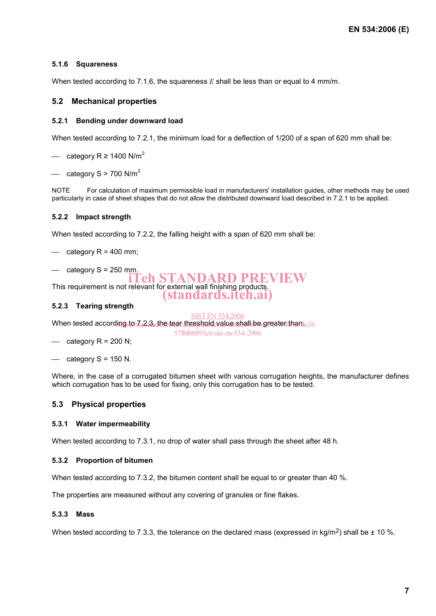#### **5.1.6 Squareness**

When tested according to 7.1.6, the squareness *E* shall be less than or equal to 4 mm/m.

#### **5.2 Mechanical properties**

#### **5.2.1 Bending under downward load**

When tested according to 7.2.1, the minimum load for a deflection of 1/200 of a span of 620 mm shall be:

— category R ≥ 1400 N/m<sup>2</sup>

 $\sim$  category S > 700 N/m<sup>2</sup>

NOTE For calculation of maximum permissible load in manufacturers' installation guides, other methods may be used particularly in case of sheet shapes that do not allow the distributed downward load described in 7.2.1 to be applied.

#### **5.2.2 Impact strength**

When tested according to 7.2.2, the falling height with a span of 620 mm shall be:

 $\equiv$  category R = 400 mm;

- category  $S = 250$  mm.

This requirement is not relevant for external wall finishing products. 'eh STANDARD PREVIEW

#### **5.2.3 Tearing strength**

When tested according to Za2B dhe teac threshold value shall be greater than $_{\rm e38-}$ SIST EN 534:2006

- $\equiv$  category R = 200 N;
- $-$  category S = 150 N.

Where, in the case of a corrugated bitumen sheet with various corrugation heights, the manufacturer defines which corrugation has to be used for fixing, only this corrugation has to be tested.

(standards.iteh.ai)

57f8f60893c6/sist-en-534-2006

#### **5.3 Physical properties**

#### **5.3.1 Water impermeability**

When tested according to 7.3.1, no drop of water shall pass through the sheet after 48 h.

#### **5.3.2 Proportion of bitumen**

When tested according to 7.3.2, the bitumen content shall be equal to or greater than 40 %.

The properties are measured without any covering of granules or fine flakes.

#### **5.3.3 Mass**

When tested according to 7.3.3, the tolerance on the declared mass (expressed in kg/m<sup>2</sup>) shall be  $\pm$  10 %.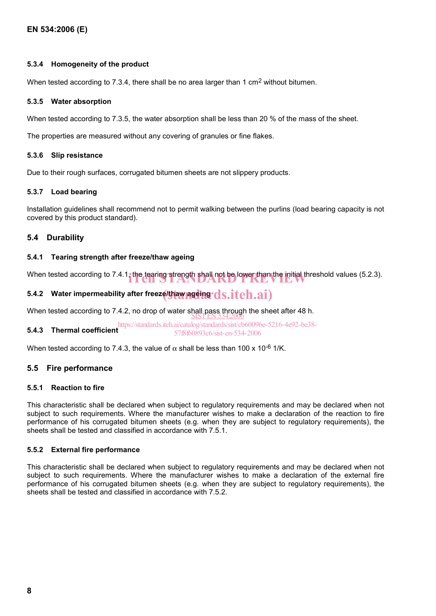#### **5.3.4 Homogeneity of the product**

When tested according to 7.3.4, there shall be no area larger than 1 cm<sup>2</sup> without bitumen.

#### **5.3.5 Water absorption**

When tested according to 7.3.5, the water absorption shall be less than 20 % of the mass of the sheet.

The properties are measured without any covering of granules or fine flakes.

#### **5.3.6 Slip resistance**

Due to their rough surfaces, corrugated bitumen sheets are not slippery products.

#### **5.3.7 Load bearing**

Installation guidelines shall recommend not to permit walking between the purlins (load bearing capacity is not covered by this product standard).

#### **5.4 Durability**

#### **5.4.1 Tearing strength after freeze/thaw ageing**

When tested according to  $7.4.1$ , the tearing strength shall not be lower than the initial threshold values (5.2.3).

## 5.4.2 Water impermeability after freeze/thaw ageing  ${\bf ds.iteh.ai)}$

When tested according to 7.4.2, no drop of water shall pass through the sheet after 48 h.<br>SIST EN 534:2006

**5.4.3 Thermal coefficient**  https://standards.iteh.ai/catalog/standards/sist/cb60096e-5216-4e92-be38- 57f8f60893c6/sist-en-534-2006

When tested according to 7.4.3, the value of  $\alpha$  shall be less than 100 x 10<sup>-6</sup> 1/K.

#### **5.5 Fire performance**

#### **5.5.1 Reaction to fire**

This characteristic shall be declared when subject to regulatory requirements and may be declared when not subject to such requirements. Where the manufacturer wishes to make a declaration of the reaction to fire performance of his corrugated bitumen sheets (e.g. when they are subject to regulatory requirements), the sheets shall be tested and classified in accordance with 7.5.1.

#### **5.5.2 External fire performance**

This characteristic shall be declared when subject to regulatory requirements and may be declared when not subject to such requirements. Where the manufacturer wishes to make a declaration of the external fire performance of his corrugated bitumen sheets (e.g. when they are subject to regulatory requirements), the sheets shall be tested and classified in accordance with 7.5.2.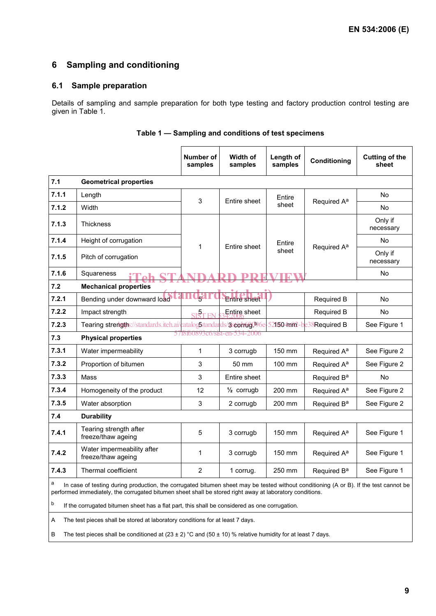### **6 Sampling and conditioning**

#### **6.1 Sample preparation**

Details of sampling and sample preparation for both type testing and factory production control testing are given in Table 1.

|                                                                                                                                            |                                                      | Number of<br>samples          | Width of<br>samples           | Length of<br>samples  | Conditioning            | <b>Cutting of the</b><br>sheet |  |  |  |
|--------------------------------------------------------------------------------------------------------------------------------------------|------------------------------------------------------|-------------------------------|-------------------------------|-----------------------|-------------------------|--------------------------------|--|--|--|
| 7.1                                                                                                                                        | <b>Geometrical properties</b>                        |                               |                               |                       |                         |                                |  |  |  |
| 7.1.1                                                                                                                                      | Length                                               | 3                             | Entire sheet                  | Entire<br>sheet       | Required A <sup>a</sup> | No                             |  |  |  |
| 7.1.2                                                                                                                                      | Width                                                |                               |                               |                       |                         | No.                            |  |  |  |
| 7.1.3                                                                                                                                      | Thickness                                            |                               |                               |                       |                         | Only if<br>necessary           |  |  |  |
| 7.1.4                                                                                                                                      | Height of corrugation                                | 1                             | Entire sheet                  | Entire<br>sheet       | Required A <sup>a</sup> | No                             |  |  |  |
| 7.1.5                                                                                                                                      | Pitch of corrugation                                 |                               |                               |                       |                         | Only if<br>necessary           |  |  |  |
| 7.1.6                                                                                                                                      | Squareness                                           |                               |                               |                       |                         | No                             |  |  |  |
| 7.2                                                                                                                                        | <b>Mechanical properties</b>                         |                               |                               |                       |                         |                                |  |  |  |
| 7.2.1                                                                                                                                      | Bending under downward load                          | 6 <sup>o</sup>                | <b>Entire</b> sheet           |                       | Required B              | No                             |  |  |  |
| 7.2.2                                                                                                                                      | Impact strength                                      | ST <sub>2T</sub><br><b>EN</b> | Entire sheet                  |                       | Required B              | No                             |  |  |  |
| 7.2.3                                                                                                                                      | Tearing strengths://standards.iteh.ai/catalog5tandar |                               | ds/ <b>siscotrug096</b> e     | -52 <b>1504a62-</b> b | e38Required B           | See Figure 1                   |  |  |  |
| 7.3                                                                                                                                        | <b>Physical properties</b>                           |                               | 5/18160893c6/sist-en-534-2006 |                       |                         |                                |  |  |  |
| 7.3.1                                                                                                                                      | Water impermeability                                 | 1                             | 3 corrugb                     | 150 mm                | Required A <sup>a</sup> | See Figure 2                   |  |  |  |
| 7.3.2                                                                                                                                      | Proportion of bitumen                                | 3                             | 50 mm                         | 100 mm                | Required A <sup>a</sup> | See Figure 2                   |  |  |  |
| 7.3.3                                                                                                                                      | Mass                                                 | 3                             | Entire sheet                  |                       | Required B <sup>a</sup> | No                             |  |  |  |
| 7.3.4                                                                                                                                      | Homogeneity of the product                           | 12                            | $\frac{1}{2}$ corrugb         | 200 mm                | Required A <sup>a</sup> | See Figure 2                   |  |  |  |
| 7.3.5                                                                                                                                      | Water absorption                                     | 3                             | 2 corrugb                     | 200 mm                | Required B <sup>a</sup> | See Figure 2                   |  |  |  |
| 7.4                                                                                                                                        | <b>Durability</b>                                    |                               |                               |                       |                         |                                |  |  |  |
| 7.4.1                                                                                                                                      | Tearing strength after<br>freeze/thaw ageing         | 5                             | 3 corrugb                     | 150 mm                | Required A <sup>a</sup> | See Figure 1                   |  |  |  |
| 7.4.2                                                                                                                                      | Water impermeability after<br>freeze/thaw ageing     | 1                             | 3 corrugb                     | 150 mm                | Required A <sup>a</sup> | See Figure 1                   |  |  |  |
| 7.4.3                                                                                                                                      | Thermal coefficient                                  | $\overline{2}$                | 1 corrug.                     | 250 mm                | Required B <sup>a</sup> | See Figure 1                   |  |  |  |
| a<br>In case of testing during production, the corrugated bitumen sheet may be tested without conditioning (A or B). If the test cannot be |                                                      |                               |                               |                       |                         |                                |  |  |  |

#### **Table 1 — Sampling and conditions of test specimens**

performed immediately, the corrugated bitumen sheet shall be stored right away at laboratory conditions.

b If the corrugated bitumen sheet has a flat part, this shall be considered as one corrugation.

A The test pieces shall be stored at laboratory conditions for at least 7 days.

B The test pieces shall be conditioned at  $(23 \pm 2)$  °C and  $(50 \pm 10)$  % relative humidity for at least 7 days.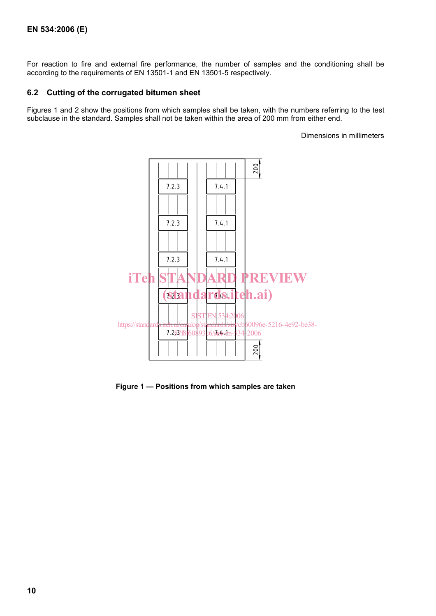For reaction to fire and external fire performance, the number of samples and the conditioning shall be according to the requirements of EN 13501-1 and EN 13501-5 respectively.

#### **6.2 Cutting of the corrugated bitumen sheet**

Figures 1 and 2 show the positions from which samples shall be taken, with the numbers referring to the test subclause in the standard. Samples shall not be taken within the area of 200 mm from either end.

Dimensions in millimeters



**Figure 1 — Positions from which samples are taken**